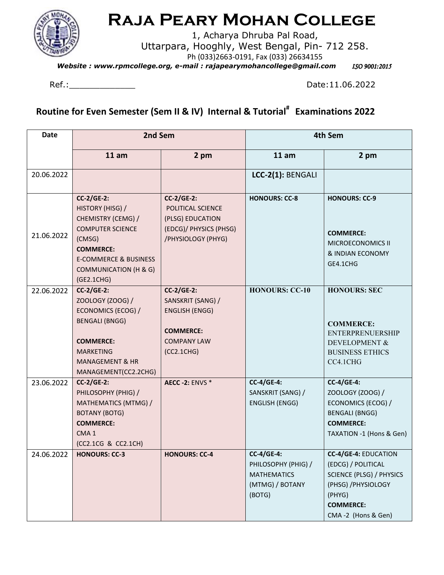

## **Raja Peary Mohan College**

1, Acharya Dhruba Pal Road, Uttarpara, Hooghly, West Bengal, Pin- 712 258. Ph (033)2663-0191, Fax (033) 26634155

*Website : www.rpmcollege.org, e-mail : rajapearymohancollege@gmail.com <br>* 

Ref.: 2022 Date:11.06.2022

**Routine for Even Semester (Sem II & IV) Internal & Tutorial# Examinations 2022** 

| <b>Date</b> | 2nd Sem                                                                                                                                                                                                |                                                                                                                         | 4th Sem                                                                                     |                                                                                                                                                                 |
|-------------|--------------------------------------------------------------------------------------------------------------------------------------------------------------------------------------------------------|-------------------------------------------------------------------------------------------------------------------------|---------------------------------------------------------------------------------------------|-----------------------------------------------------------------------------------------------------------------------------------------------------------------|
|             | 11 am                                                                                                                                                                                                  | 2 pm                                                                                                                    | 11 am                                                                                       | 2 pm                                                                                                                                                            |
| 20.06.2022  |                                                                                                                                                                                                        |                                                                                                                         | LCC-2(1): BENGALI                                                                           |                                                                                                                                                                 |
| 21.06.2022  | $CC-2/GE-2$ :<br>HISTORY (HISG) /<br>CHEMISTRY (CEMG) /<br><b>COMPUTER SCIENCE</b><br>(CMSG)<br><b>COMMERCE:</b><br><b>E-COMMERCE &amp; BUSINESS</b><br><b>COMMUNICATION (H &amp; G)</b><br>(GE2.1CHG) | $CC-2/GE-2$ :<br>POLITICAL SCIENCE<br>(PLSG) EDUCATION<br>(EDCG)/ PHYSICS (PHSG)<br>/PHYSIOLOGY (PHYG)                  | <b>HONOURS: CC-8</b>                                                                        | <b>HONOURS: CC-9</b><br><b>COMMERCE:</b><br>MICROECONOMICS II<br>& INDIAN ECONOMY<br>GE4.1CHG                                                                   |
| 22.06.2022  | $CC-2/GE-2$ :<br>ZOOLOGY (ZOOG) /<br>ECONOMICS (ECOG) /<br><b>BENGALI (BNGG)</b><br><b>COMMERCE:</b><br><b>MARKETING</b><br><b>MANAGEMENT &amp; HR</b><br>MANAGEMENT(CC2.2CHG)                         | <b>CC-2/GE-2:</b><br>SANSKRIT (SANG) /<br><b>ENGLISH (ENGG)</b><br><b>COMMERCE:</b><br><b>COMPANY LAW</b><br>(CC2.1CHG) | <b>HONOURS: CC-10</b>                                                                       | <b>HONOURS: SEC</b><br><b>COMMERCE:</b><br><b>ENTERPRENUERSHIP</b><br>DEVELOPMENT &<br><b>BUSINESS ETHICS</b><br>CC4.1CHG                                       |
| 23.06.2022  | <b>CC-2/GE-2:</b><br>PHILOSOPHY (PHIG) /<br>MATHEMATICS (MTMG) /<br><b>BOTANY (BOTG)</b><br><b>COMMERCE:</b><br>CMA <sub>1</sub><br>(CC2.1CG & CC2.1CH)                                                | <b>AECC -2: ENVS *</b>                                                                                                  | <b>CC-4/GE-4:</b><br>SANSKRIT (SANG) /<br><b>ENGLISH (ENGG)</b>                             | <b>CC-4/GE-4:</b><br>ZOOLOGY (ZOOG) /<br>ECONOMICS (ECOG) /<br><b>BENGALI (BNGG)</b><br><b>COMMERCE:</b><br>TAXATION -1 (Hons & Gen)                            |
| 24.06.2022  | <b>HONOURS: CC-3</b>                                                                                                                                                                                   | <b>HONOURS: CC-4</b>                                                                                                    | <b>CC-4/GE-4:</b><br>PHILOSOPHY (PHIG) /<br><b>MATHEMATICS</b><br>(MTMG) / BOTANY<br>(BOTG) | <b>CC-4/GE-4: EDUCATION</b><br>(EDCG) / POLITICAL<br><b>SCIENCE (PLSG) / PHYSICS</b><br>(PHSG) / PHYSIOLOGY<br>(PHYG)<br><b>COMMERCE:</b><br>CMA-2 (Hons & Gen) |